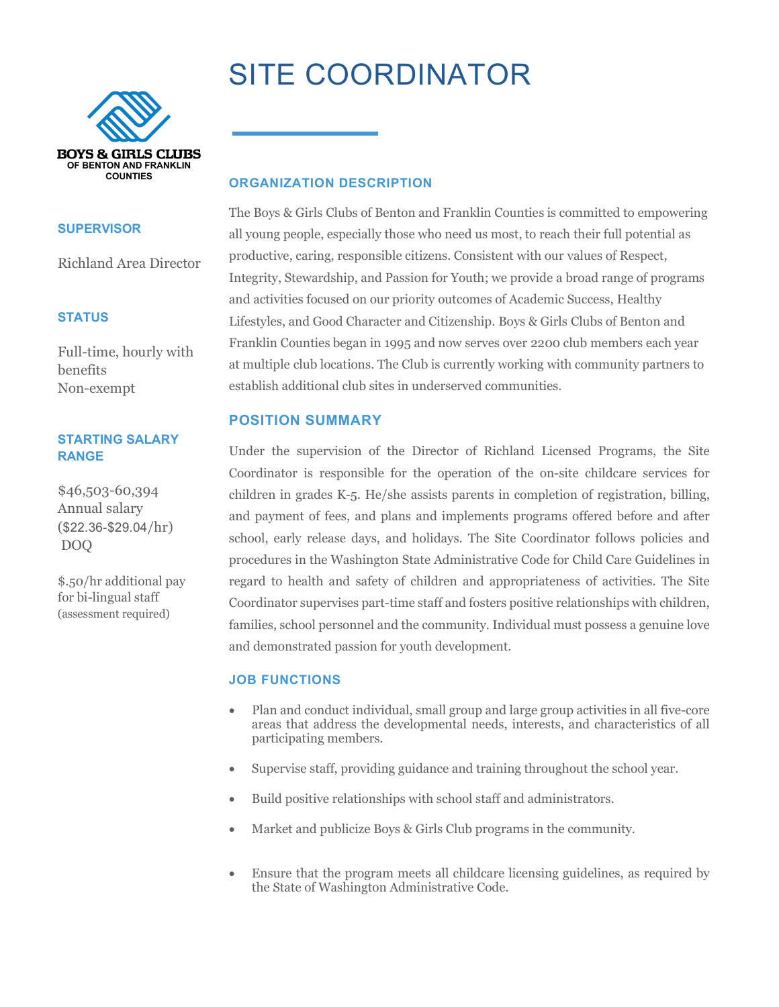# SITE COORDINATOR



#### **SUPERVISOR**

Richland Area Director

# **STATUS**

Full-time, hourly with benefits Non-exempt

# **STARTING SALARY RANGE**

\$46,503-60,394 Annual salary (\$22.36-\$29.04/hr) DOQ

\$.50/hr additional pay for bi-lingual staff (assessment required)

# **ORGANIZATION DESCRIPTION**

The Boys & Girls Clubs of Benton and Franklin Counties is committed to empowering all young people, especially those who need us most, to reach their full potential as productive, caring, responsible citizens. Consistent with our values of Respect, Integrity, Stewardship, and Passion for Youth; we provide a broad range of programs and activities focused on our priority outcomes of Academic Success, Healthy Lifestyles, and Good Character and Citizenship. Boys & Girls Clubs of Benton and Franklin Counties began in 1995 and now serves over 2200 club members each year at multiple club locations. The Club is currently working with community partners to establish additional club sites in underserved communities.

# **POSITION SUMMARY**

Under the supervision of the Director of Richland Licensed Programs, the Site Coordinator is responsible for the operation of the on-site childcare services for children in grades K-5. He/she assists parents in completion of registration, billing, and payment of fees, and plans and implements programs offered before and after school, early release days, and holidays. The Site Coordinator follows policies and procedures in the Washington State Administrative Code for Child Care Guidelines in regard to health and safety of children and appropriateness of activities. The Site Coordinator supervises part-time staff and fosters positive relationships with children, families, school personnel and the community. Individual must possess a genuine love and demonstrated passion for youth development.

## **JOB FUNCTIONS**

- Plan and conduct individual, small group and large group activities in all five-core areas that address the developmental needs, interests, and characteristics of all participating members.
- Supervise staff, providing guidance and training throughout the school year.
- Build positive relationships with school staff and administrators.
- Market and publicize Boys & Girls Club programs in the community.
- Ensure that the program meets all childcare licensing guidelines, as required by the State of Washington Administrative Code.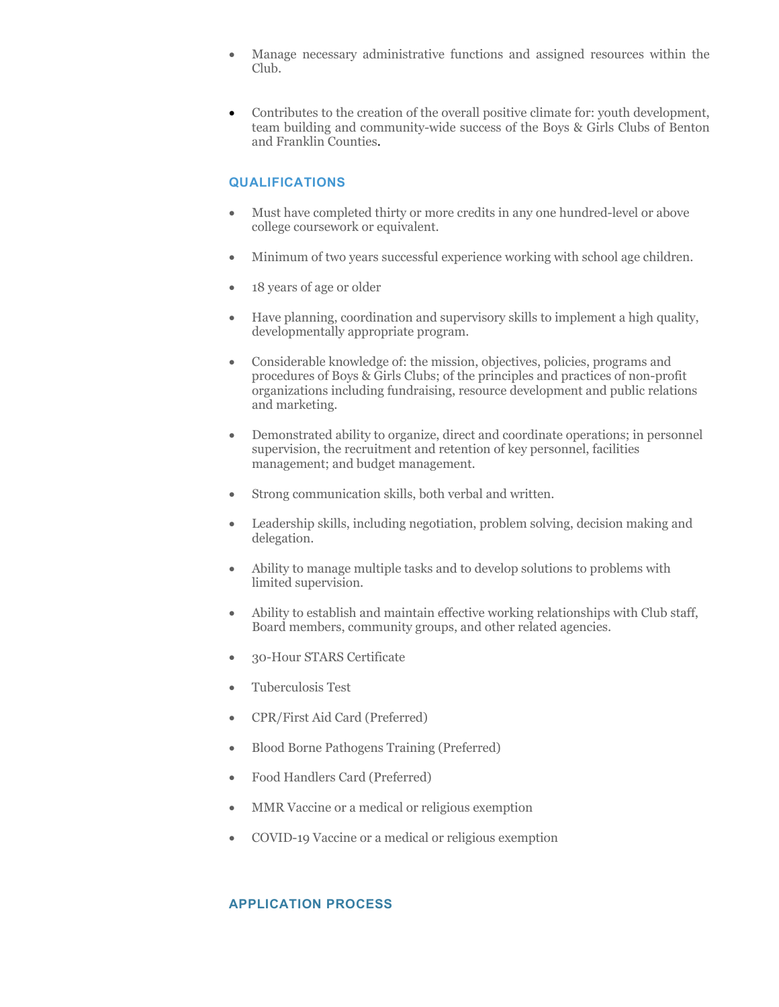- Manage necessary administrative functions and assigned resources within the Club.
- Contributes to the creation of the overall positive climate for: youth development, team building and community-wide success of the Boys & Girls Clubs of Benton and Franklin Counties.

## **QUALIFICATIONS**

- Must have completed thirty or more credits in any one hundred-level or above college coursework or equivalent.
- Minimum of two years successful experience working with school age children.
- 18 years of age or older
- Have planning, coordination and supervisory skills to implement a high quality, developmentally appropriate program.
- Considerable knowledge of: the mission, objectives, policies, programs and procedures of Boys & Girls Clubs; of the principles and practices of non-profit organizations including fundraising, resource development and public relations and marketing.
- Demonstrated ability to organize, direct and coordinate operations; in personnel supervision, the recruitment and retention of key personnel, facilities management; and budget management.
- Strong communication skills, both verbal and written.
- Leadership skills, including negotiation, problem solving, decision making and delegation.
- Ability to manage multiple tasks and to develop solutions to problems with limited supervision.
- Ability to establish and maintain effective working relationships with Club staff, Board members, community groups, and other related agencies.
- 30-Hour STARS Certificate
- Tuberculosis Test
- CPR/First Aid Card (Preferred)
- Blood Borne Pathogens Training (Preferred)
- Food Handlers Card (Preferred)
- MMR Vaccine or a medical or religious exemption
- COVID-19 Vaccine or a medical or religious exemption

# **APPLICATION PROCESS**